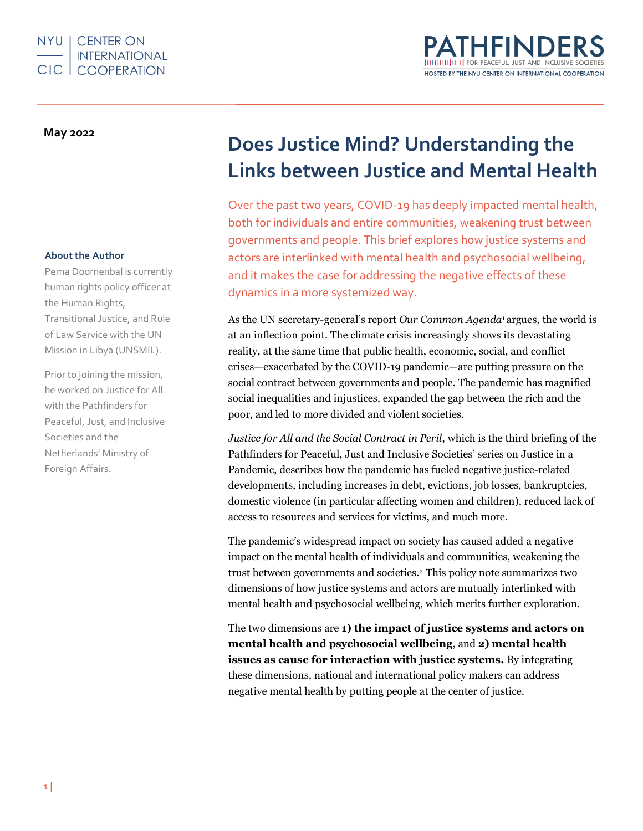

**May 2022**

#### **About the Author**

Pema Doornenbal is currently human rights policy officer at the Human Rights, Transitional Justice, and Rule of Law Service with the UN Mission in Libya (UNSMIL).

Prior to joining the mission, he worked on Justice for All with the Pathfinders for Peaceful, Just, and Inclusive Societies and the Netherlands' Ministry of Foreign Affairs.

# **Does Justice Mind? Understanding the Links between Justice and Mental Health**

Over the past two years, COVID-19 has deeply impacted mental health, both for individuals and entire communities, weakening trust between governments and people. This brief explores how justice systems and actors are interlinked with mental health and psychosocial wellbeing, and it makes the case for addressing the negative effects of these dynamics in a more systemized way.

As the UN secretary-general's report *Our Common Agenda*<sup>1</sup> argues, the world is at an inflection point. The climate crisis increasingly shows its devastating reality, at the same time that public health, economic, social, and conflict crises—exacerbated by the COVID-19 pandemic—are putting pressure on the social contract between governments and people. The pandemic has magnified social inequalities and injustices, expanded the gap between the rich and the poor, and led to more divided and violent societies.

*Justice for All and the Social Contract in Peril*, which is the third briefing of the Pathfinders for Peaceful, Just and Inclusive Societies' series on Justice in a Pandemic, describes how the pandemic has fueled negative justice-related developments, including increases in debt, evictions, job losses, bankruptcies, domestic violence (in particular affecting women and children), reduced lack of access to resources and services for victims, and much more.

The pandemic's widespread impact on society has caused added a negative impact on the mental health of individuals and communities, weakening the trust between governments and societies.<sup>2</sup> This policy note summarizes two dimensions of how justice systems and actors are mutually interlinked with mental health and psychosocial wellbeing, which merits further exploration.

The two dimensions are **1) the impact of justice systems and actors on mental health and psychosocial wellbeing**, and **2) mental health issues as cause for interaction with justice systems.** By integrating these dimensions, national and international policy makers can address negative mental health by putting people at the center of justice.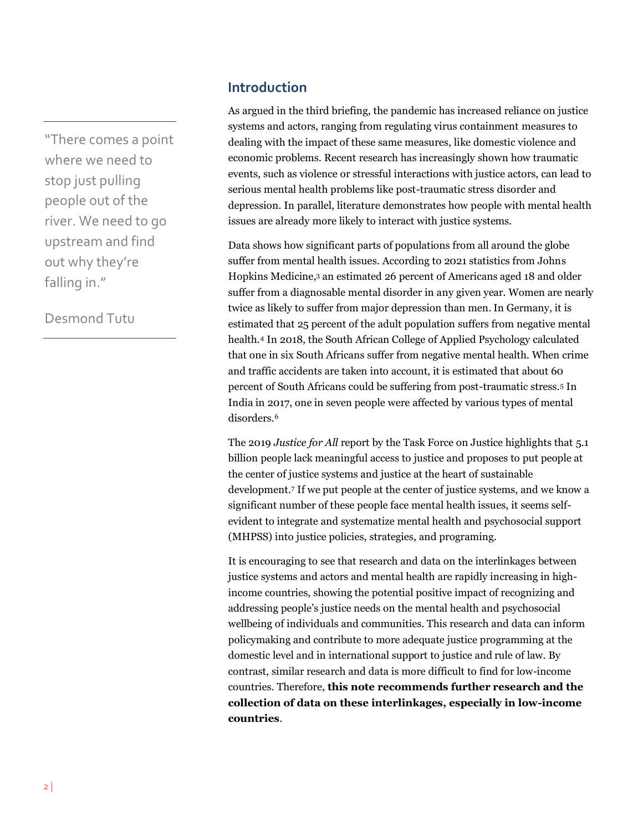"There comes a point where we need to stop just pulling people out of the river. We need to go upstream and find out why they're falling in."

Desmond Tutu

## **Introduction**

As argued in the third briefing, the pandemic has increased reliance on justice systems and actors, ranging from regulating virus containment measures to dealing with the impact of these same measures, like domestic violence and economic problems. Recent research has increasingly shown how traumatic events, such as violence or stressful interactions with justice actors, can lead to serious mental health problems like post-traumatic stress disorder and depression. In parallel, literature demonstrates how people with mental health issues are already more likely to interact with justice systems.

Data shows how significant parts of populations from all around the globe suffer from mental health issues. According to 2021 statistics from Johns Hopkins Medicine, <sup>3</sup> an estimated 26 percent of Americans aged 18 and older suffer from a diagnosable mental disorder in any given year. Women are nearly twice as likely to suffer from major depression than men. In Germany, it is estimated that 25 percent of the adult population suffers from negative mental health. <sup>4</sup> In 2018, the South African College of Applied Psychology calculated that one in six South Africans suffer from negative mental health. When crime and traffic accidents are taken into account, it is estimated that about 60 percent of South Africans could be suffering from post-traumatic stress.<sup>5</sup> In India in 2017, one in seven people were affected by various types of mental disorders.<sup>6</sup>

The 2019 *Justice for All* report by the Task Force on Justice highlights that 5.1 billion people lack meaningful access to justice and proposes to put people at the center of justice systems and justice at the heart of sustainable development.<sup>7</sup> If we put people at the center of justice systems, and we know a significant number of these people face mental health issues, it seems selfevident to integrate and systematize mental health and psychosocial support (MHPSS) into justice policies, strategies, and programing.

It is encouraging to see that research and data on the interlinkages between justice systems and actors and mental health are rapidly increasing in highincome countries, showing the potential positive impact of recognizing and addressing people's justice needs on the mental health and psychosocial wellbeing of individuals and communities. This research and data can inform policymaking and contribute to more adequate justice programming at the domestic level and in international support to justice and rule of law. By contrast, similar research and data is more difficult to find for low-income countries. Therefore, **this note recommends further research and the collection of data on these interlinkages, especially in low-income countries**.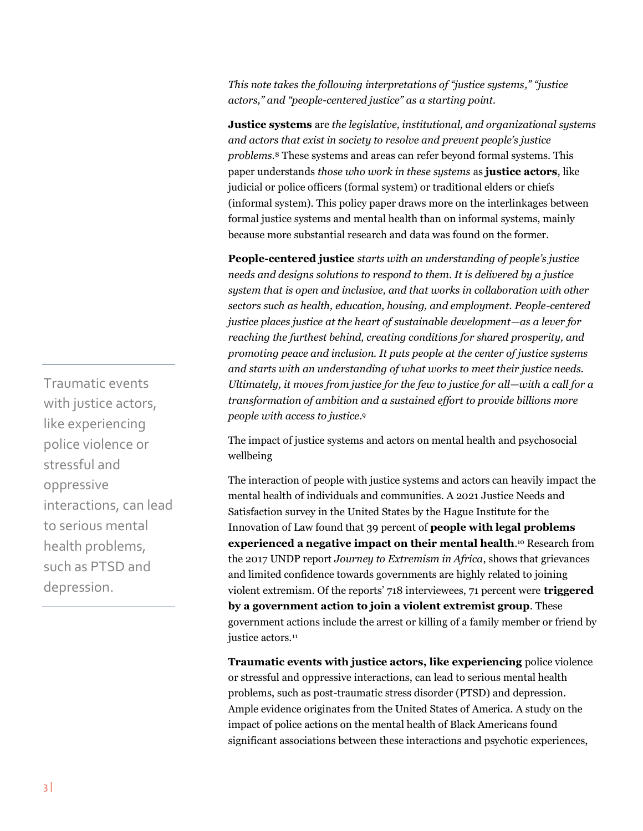*This note takes the following interpretations of "justice systems," "justice actors," and "people-centered justice" as a starting point.* 

**Justice systems** are *the legislative, institutional, and organizational systems and actors that exist in society to resolve and prevent people's justice problems*. <sup>8</sup> These systems and areas can refer beyond formal systems. This paper understands *those who work in these systems* as **justice actors**, like judicial or police officers (formal system) or traditional elders or chiefs (informal system). This policy paper draws more on the interlinkages between formal justice systems and mental health than on informal systems, mainly because more substantial research and data was found on the former.

**People-centered justice** *starts with an understanding of people's justice needs and designs solutions to respond to them. It is delivered by a justice system that is open and inclusive, and that works in collaboration with other sectors such as health, education, housing, and employment. People-centered justice places justice at the heart of sustainable development—as a lever for reaching the furthest behind, creating conditions for shared prosperity, and promoting peace and inclusion. It puts people at the center of justice systems and starts with an understanding of what works to meet their justice needs. Ultimately, it moves from justice for the few to justice for all—with a call for a transformation of ambition and a sustained effort to provide billions more people with access to justice*. 9

The impact of justice systems and actors on mental health and psychosocial wellbeing

The interaction of people with justice systems and actors can heavily impact the mental health of individuals and communities. A 2021 Justice Needs and Satisfaction survey in the United States by the Hague Institute for the Innovation of Law found that 39 percent of **people with legal problems experienced a negative impact on their mental health**. <sup>10</sup> Research from the 2017 UNDP report *Journey to Extremism in Africa*, shows that grievances and limited confidence towards governments are highly related to joining violent extremism. Of the reports' 718 interviewees, 71 percent were **triggered by a government action to join a violent extremist group**. These government actions include the arrest or killing of a family member or friend by justice actors.<sup>11</sup>

**Traumatic events with justice actors, like experiencing** police violence or stressful and oppressive interactions, can lead to serious mental health problems, such as post-traumatic stress disorder (PTSD) and depression. Ample evidence originates from the United States of America. A study on the impact of police actions on the mental health of Black Americans found significant associations between these interactions and psychotic experiences,

Traumatic events with justice actors, like experiencing police violence or stressful and oppressive interactions, can lead to serious mental health problems, such as PTSD and depression.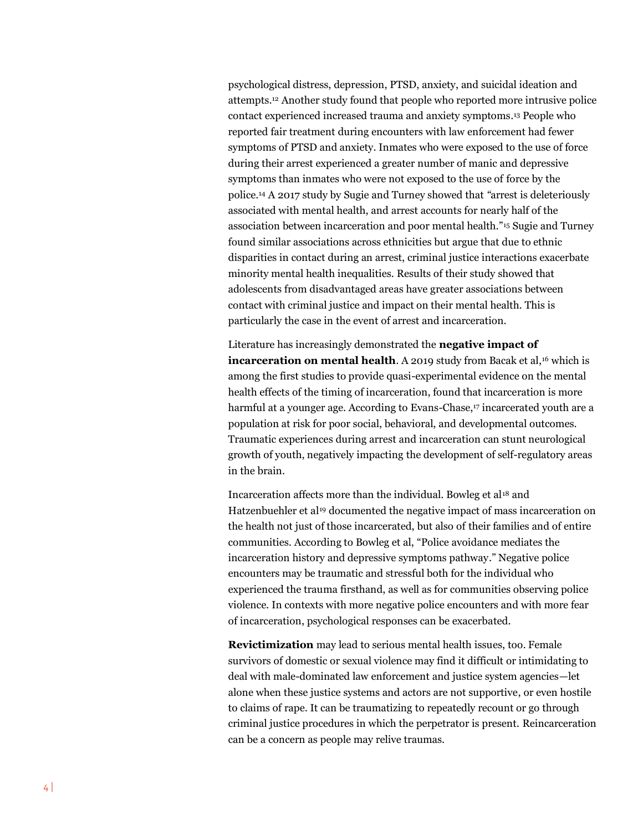psychological distress, depression, PTSD, anxiety, and suicidal ideation and attempts. <sup>12</sup> Another study found that people who reported more intrusive police contact experienced increased trauma and anxiety symptoms. <sup>13</sup> People who reported fair treatment during encounters with law enforcement had fewer symptoms of PTSD and anxiety. Inmates who were exposed to the use of force during their arrest experienced a greater number of manic and depressive symptoms than inmates who were not exposed to the use of force by the police. <sup>14</sup> A 2017 study by Sugie and Turney showed that *"*arrest is deleteriously associated with mental health, and arrest accounts for nearly half of the association between incarceration and poor mental health."<sup>15</sup> Sugie and Turney found similar associations across ethnicities but argue that due to ethnic disparities in contact during an arrest, criminal justice interactions exacerbate minority mental health inequalities. Results of their study showed that adolescents from disadvantaged areas have greater associations between contact with criminal justice and impact on their mental health. This is particularly the case in the event of arrest and incarceration.

Literature has increasingly demonstrated the **negative impact of incarceration on mental health**. A 2019 study from Bacak et al,<sup>16</sup> which is among the first studies to provide quasi-experimental evidence on the mental health effects of the timing of incarceration, found that incarceration is more harmful at a younger age. According to Evans-Chase, <sup>17</sup> incarcerated youth are a population at risk for poor social, behavioral, and developmental outcomes. Traumatic experiences during arrest and incarceration can stunt neurological growth of youth, negatively impacting the development of self-regulatory areas in the brain.

Incarceration affects more than the individual. Bowleg et al<sup>18</sup> and Hatzenbuehler et al<sup>19</sup> documented the negative impact of mass incarceration on the health not just of those incarcerated, but also of their families and of entire communities. According to Bowleg et al, "Police avoidance mediates the incarceration history and depressive symptoms pathway." Negative police encounters may be traumatic and stressful both for the individual who experienced the trauma firsthand, as well as for communities observing police violence. In contexts with more negative police encounters and with more fear of incarceration, psychological responses can be exacerbated.

**Revictimization** may lead to serious mental health issues, too. Female survivors of domestic or sexual violence may find it difficult or intimidating to deal with male-dominated law enforcement and justice system agencies—let alone when these justice systems and actors are not supportive, or even hostile to claims of rape. It can be traumatizing to repeatedly recount or go through criminal justice procedures in which the perpetrator is present. Reincarceration can be a concern as people may relive traumas.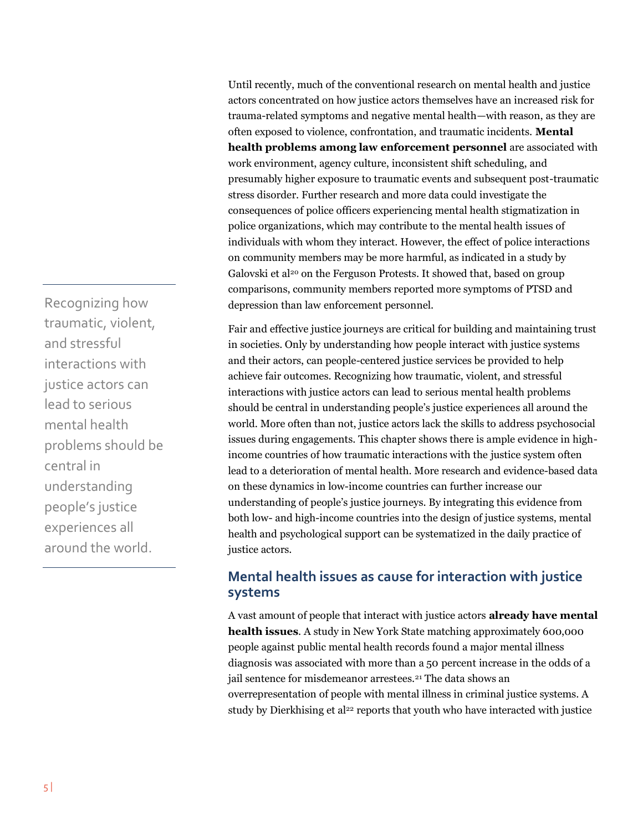Until recently, much of the conventional research on mental health and justice actors concentrated on how justice actors themselves have an increased risk for trauma-related symptoms and negative mental health—with reason, as they are often exposed to violence, confrontation, and traumatic incidents. **Mental health problems among law enforcement personnel** are associated with work environment, agency culture, inconsistent shift scheduling, and presumably higher exposure to traumatic events and subsequent post-traumatic stress disorder. Further research and more data could investigate the consequences of police officers experiencing mental health stigmatization in police organizations, which may contribute to the mental health issues of individuals with whom they interact. However, the effect of police interactions on community members may be more harmful, as indicated in a study by Galovski et al<sup>20</sup> on the Ferguson Protests. It showed that, based on group comparisons, community members reported more symptoms of PTSD and depression than law enforcement personnel.

Fair and effective justice journeys are critical for building and maintaining trust in societies. Only by understanding how people interact with justice systems and their actors, can people-centered justice services be provided to help achieve fair outcomes. Recognizing how traumatic, violent, and stressful interactions with justice actors can lead to serious mental health problems should be central in understanding people's justice experiences all around the world. More often than not, justice actors lack the skills to address psychosocial issues during engagements. This chapter shows there is ample evidence in highincome countries of how traumatic interactions with the justice system often lead to a deterioration of mental health. More research and evidence-based data on these dynamics in low-income countries can further increase our understanding of people's justice journeys. By integrating this evidence from both low- and high-income countries into the design of justice systems, mental health and psychological support can be systematized in the daily practice of justice actors.

## **Mental health issues as cause for interaction with justice systems**

A vast amount of people that interact with justice actors **already have mental health issues**. A study in New York State matching approximately 600,000 people against public mental health records found a major mental illness diagnosis was associated with more than a 50 percent increase in the odds of a jail sentence for misdemeanor arrestees.<sup>21</sup> The data shows an overrepresentation of people with mental illness in criminal justice systems. A study by Dierkhising et al<sup>22</sup> reports that youth who have interacted with justice

Recognizing how traumatic, violent, and stressful interactions with justice actors can lead to serious mental health problems should be central in understanding people's justice experiences all around the world.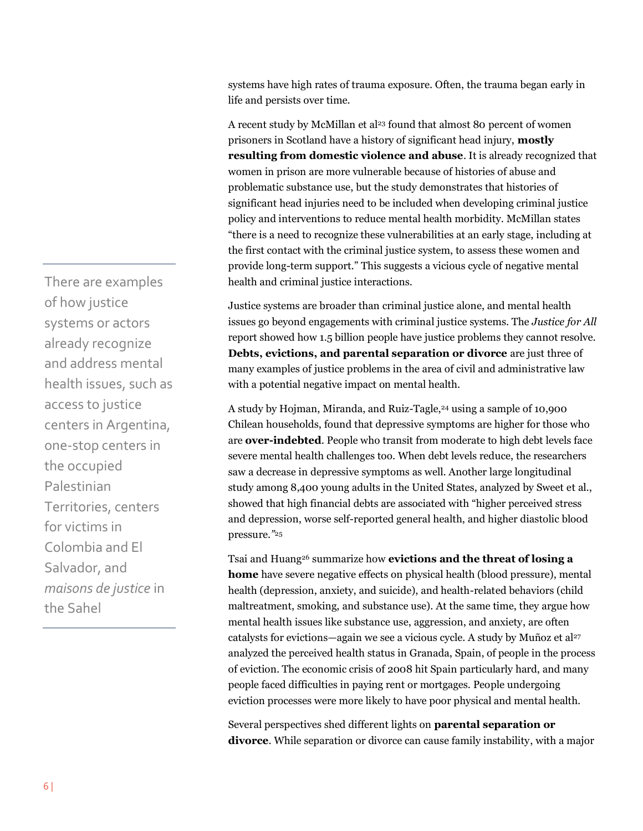systems have high rates of trauma exposure. Often, the trauma began early in life and persists over time.

A recent study by McMillan et al<sup>23</sup> found that almost 80 percent of women prisoners in Scotland have a history of significant head injury, **mostly resulting from domestic violence and abuse**. It is already recognized that women in prison are more vulnerable because of histories of abuse and problematic substance use, but the study demonstrates that histories of significant head injuries need to be included when developing criminal justice policy and interventions to reduce mental health morbidity. McMillan states "there is a need to recognize these vulnerabilities at an early stage, including at the first contact with the criminal justice system, to assess these women and provide long-term support." This suggests a vicious cycle of negative mental health and criminal justice interactions.

Justice systems are broader than criminal justice alone, and mental health issues go beyond engagements with criminal justice systems. The *Justice for All*  report showed how 1.5 billion people have justice problems they cannot resolve. **Debts, evictions, and parental separation or divorce** are just three of many examples of justice problems in the area of civil and administrative law with a potential negative impact on mental health.

A study by Hojman, Miranda, and Ruiz-Tagle, <sup>24</sup> using a sample of 10,900 Chilean households, found that depressive symptoms are higher for those who are **over-indebted**. People who transit from moderate to high debt levels face severe mental health challenges too. When debt levels reduce, the researchers saw a decrease in depressive symptoms as well. Another large longitudinal study among 8,400 young adults in the United States, analyzed by Sweet et al., showed that high financial debts are associated with "higher perceived stress and depression, worse self-reported general health, and higher diastolic blood pressure.*"* 25

Tsai and Huang<sup>26</sup> summarize how **evictions and the threat of losing a home** have severe negative effects on physical health (blood pressure), mental health (depression, anxiety, and suicide), and health-related behaviors (child maltreatment, smoking, and substance use). At the same time, they argue how mental health issues like substance use, aggression, and anxiety, are often catalysts for evictions—again we see a vicious cycle. A study by Muñoz et al<sup>27</sup> analyzed the perceived health status in Granada, Spain, of people in the process of eviction. The economic crisis of 2008 hit Spain particularly hard, and many people faced difficulties in paying rent or mortgages. People undergoing eviction processes were more likely to have poor physical and mental health.

Several perspectives shed different lights on **parental separation or divorce**. While separation or divorce can cause family instability, with a major

There are examples of how justice systems or actors already recognize and address mental health issues, such as access to justice centers in Argentina, one-stop centers in the occupied Palestinian Territories, centers for victims in Colombia and El Salvador, and *maisons de justice* in the Sahel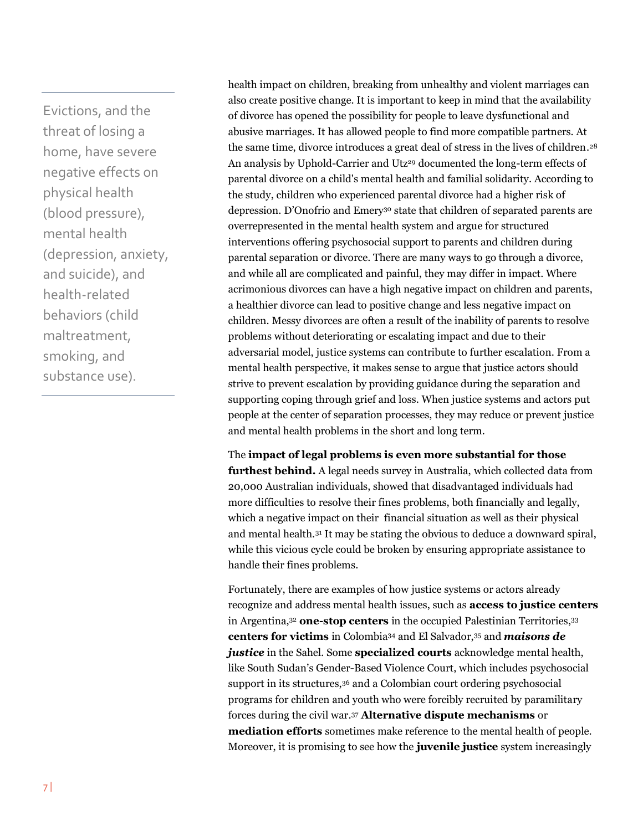Evictions, and the threat of losing a home, have severe negative effects on physical health (blood pressure), mental health (depression, anxiety, and suicide), and health-related behaviors (child maltreatment, smoking, and substance use).

health impact on children, breaking from unhealthy and violent marriages can also create positive change. It is important to keep in mind that the availability of divorce has opened the possibility for people to leave dysfunctional and abusive marriages. It has allowed people to find more compatible partners. At the same time, divorce introduces a great deal of stress in the lives of children. 28 An analysis by Uphold-Carrier and Utz<sup>29</sup> documented the long-term effects of parental divorce on a child's mental health and familial solidarity. According to the study, children who experienced parental divorce had a higher risk of depression. D'Onofrio and Emery<sup>30</sup> state that children of separated parents are overrepresented in the mental health system and argue for structured interventions offering psychosocial support to parents and children during parental separation or divorce. There are many ways to go through a divorce, and while all are complicated and painful, they may differ in impact. Where acrimonious divorces can have a high negative impact on children and parents, a healthier divorce can lead to positive change and less negative impact on children. Messy divorces are often a result of the inability of parents to resolve problems without deteriorating or escalating impact and due to their adversarial model, justice systems can contribute to further escalation. From a mental health perspective, it makes sense to argue that justice actors should strive to prevent escalation by providing guidance during the separation and supporting coping through grief and loss. When justice systems and actors put people at the center of separation processes, they may reduce or prevent justice and mental health problems in the short and long term.

The **impact of legal problems is even more substantial for those furthest behind.** A legal needs survey in Australia, which collected data from 20,000 Australian individuals, showed that disadvantaged individuals had more difficulties to resolve their fines problems, both financially and legally, which a negative impact on their financial situation as well as their physical and mental health.<sup>31</sup> It may be stating the obvious to deduce a downward spiral, while this vicious cycle could be broken by ensuring appropriate assistance to handle their fines problems.

Fortunately, there are examples of how justice systems or actors already recognize and address mental health issues, such as **access to justice centers** in Argentina,<sup>32</sup> **one-stop centers** in the occupied Palestinian Territories, 33 **centers for victims** in Colombia<sup>34</sup> and El Salvador,<sup>35</sup> and *maisons de justice* in the Sahel. Some **specialized courts** acknowledge mental health, like South Sudan's Gender-Based Violence Court, which includes psychosocial support in its structures, 36 and a Colombian court ordering psychosocial programs for children and youth who were forcibly recruited by paramilitary forces during the civil war. <sup>37</sup> **Alternative dispute mechanisms** or **mediation efforts** sometimes make reference to the mental health of people. Moreover, it is promising to see how the **juvenile justice** system increasingly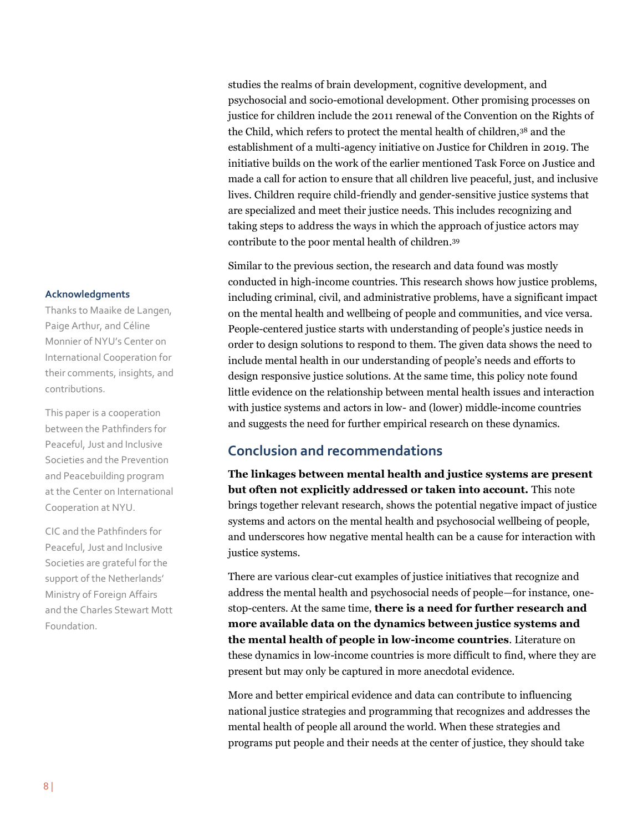studies the realms of brain development, cognitive development, and psychosocial and socio-emotional development. Other promising processes on justice for children include the 2011 renewal of the Convention on the Rights of the Child, which refers to protect the mental health of children,<sup>38</sup> and the establishment of a multi-agency initiative on Justice for Children in 2019. The initiative builds on the work of the earlier mentioned Task Force on Justice and made a call for action to ensure that all children live peaceful, just, and inclusive lives. Children require child-friendly and gender-sensitive justice systems that are specialized and meet their justice needs. This includes recognizing and taking steps to address the ways in which the approach of justice actors may contribute to the poor mental health of children. 39

Similar to the previous section, the research and data found was mostly conducted in high-income countries. This research shows how justice problems, including criminal, civil, and administrative problems, have a significant impact on the mental health and wellbeing of people and communities, and vice versa. People-centered justice starts with understanding of people's justice needs in order to design solutions to respond to them. The given data shows the need to include mental health in our understanding of people's needs and efforts to design responsive justice solutions. At the same time, this policy note found little evidence on the relationship between mental health issues and interaction with justice systems and actors in low- and (lower) middle-income countries and suggests the need for further empirical research on these dynamics.

## **Conclusion and recommendations**

**The linkages between mental health and justice systems are present but often not explicitly addressed or taken into account.** This note brings together relevant research, shows the potential negative impact of justice systems and actors on the mental health and psychosocial wellbeing of people, and underscores how negative mental health can be a cause for interaction with justice systems.

There are various clear-cut examples of justice initiatives that recognize and address the mental health and psychosocial needs of people—for instance, onestop-centers. At the same time, **there is a need for further research and more available data on the dynamics between justice systems and the mental health of people in low-income countries**. Literature on these dynamics in low-income countries is more difficult to find, where they are present but may only be captured in more anecdotal evidence.

More and better empirical evidence and data can contribute to influencing national justice strategies and programming that recognizes and addresses the mental health of people all around the world. When these strategies and programs put people and their needs at the center of justice, they should take

#### **Acknowledgments**

Thanks to Maaike de Langen, Paige Arthur, and Céline Monnier of NYU's Center on International Cooperation for their comments, insights, and contributions.

This paper is a cooperation between the Pathfinders for Peaceful, Just and Inclusive Societies and the Prevention and Peacebuilding program at the Center on International Cooperation at NYU.

CIC and the Pathfinders for Peaceful, Just and Inclusive Societies are grateful for the support of the Netherlands' Ministry of Foreign Affairs and the Charles Stewart Mott Foundation.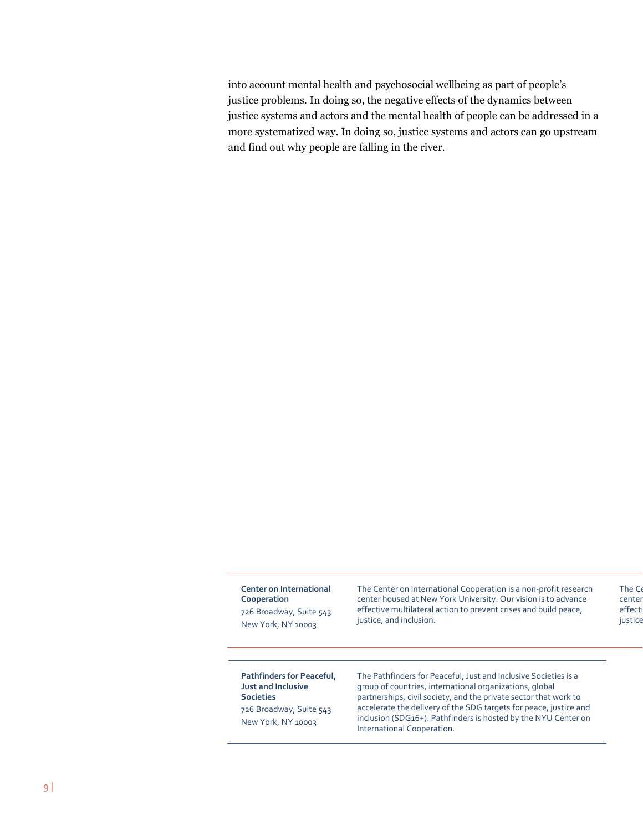into account mental health and psychosocial wellbeing as part of people's justice problems. In doing so, the negative effects of the dynamics between justice systems and actors and the mental health of people can be addressed in a more systematized way. In doing so, justice systems and actors can go upstream and find out why people are falling in the river.

#### **Center on International Cooperation** 726 Broadway, Suite 543

New York, NY 10003

The Center on International Cooperation is a non-profit research center housed at New York University. Our vision is to advance effective multilateral action to prevent crises and build peace, justice, and inclusion.

The  $C_0$ center effecti justice

#### **Pathfinders for Peaceful, Just and Inclusive Societies**

726 Broadway, Suite 543 New York, NY 10003

The Pathfinders for Peaceful, Just and Inclusive Societies is a group of countries, international organizations, global partnerships, civil society, and the private sector that work to accelerate the delivery of the SDG targets for peace, justice and inclusion (SDG16+). Pathfinders is hosted by the NYU Center on International Cooperation.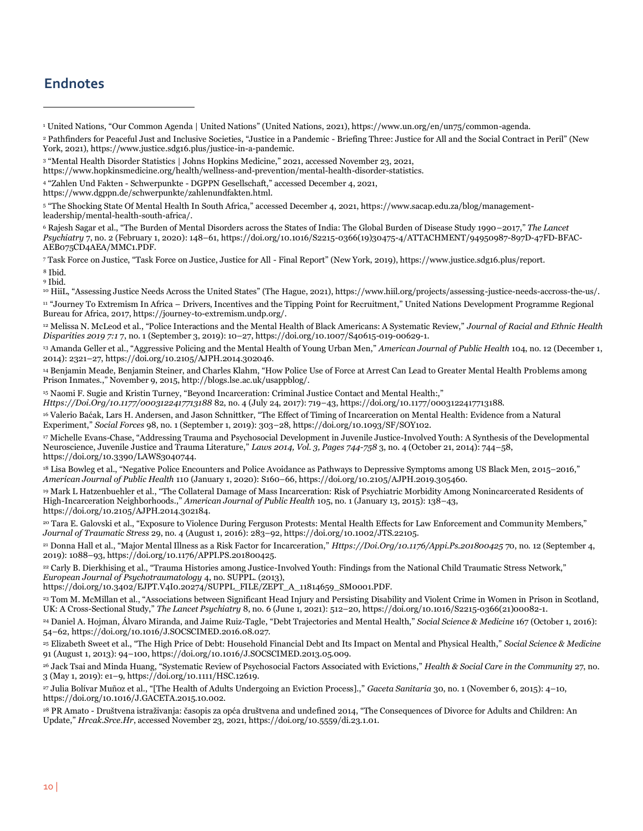## **Endnotes**

<sup>1</sup> United Nations, "Our Common Agenda | United Nations" (United Nations, 2021), https://www.un.org/en/un75/common-agenda.

<sup>2</sup> Pathfinders for Peaceful Just and Inclusive Societies, "Justice in a Pandemic - Briefing Three: Justice for All and the Social Contract in Peril" (New York, 2021), https://www.justice.sdg16.plus/justice-in-a-pandemic.

<sup>3</sup> "Mental Health Disorder Statistics | Johns Hopkins Medicine," 2021, accessed November 23, 2021,

https://www.hopkinsmedicine.org/health/wellness-and-prevention/mental-health-disorder-statistics.

<sup>4</sup> "Zahlen Und Fakten - Schwerpunkte - DGPPN Gesellschaft," accessed December 4, 2021,

https://www.dgppn.de/schwerpunkte/zahlenundfakten.html.

<sup>5</sup> "The Shocking State Of Mental Health In South Africa," accessed December 4, 2021, https://www.sacap.edu.za/blog/managementleadership/mental-health-south-africa/.

<sup>6</sup> Rajesh Sagar et al., "The Burden of Mental Disorders across the States of India: The Global Burden of Disease Study 1990–2017," *The Lancet Psychiatry* 7, no. 2 (February 1, 2020): 148–61, https://doi.org/10.1016/S2215-0366(19)30475-4/ATTACHMENT/94950987-897D-47FD-BFAC-AEB075CD4AEA/MMC1.PDF.

<sup>7</sup> Task Force on Justice, "Task Force on Justice, Justice for All - Final Report" (New York, 2019), https://www.justice.sdg16.plus/report. <sup>8</sup> Ibid.

<sup>9</sup> Ibid.

<sup>10</sup> HiiL, "Assessing Justice Needs Across the United States" (The Hague, 2021), https://www.hiil.org/projects/assessing-justice-needs-accross-the-us/. <sup>11</sup> "Journey To Extremism In Africa – Drivers, Incentives and the Tipping Point for Recruitment," United Nations Development Programme Regional Bureau for Africa, 2017, https://journey-to-extremism.undp.org/.

<sup>12</sup> Melissa N. McLeod et al., "Police Interactions and the Mental Health of Black Americans: A Systematic Review," *Journal of Racial and Ethnic Health Disparities 2019 7:1* 7, no. 1 (September 3, 2019): 10–27, https://doi.org/10.1007/S40615-019-00629-1.

<sup>13</sup> Amanda Geller et al., "Aggressive Policing and the Mental Health of Young Urban Men," *American Journal of Public Health* 104, no. 12 (December 1, 2014): 2321–27, https://doi.org/10.2105/AJPH.2014.302046.

<sup>14</sup> Benjamin Meade, Benjamin Steiner, and Charles Klahm, "How Police Use of Force at Arrest Can Lead to Greater Mental Health Problems among Prison Inmates.," November 9, 2015, http://blogs.lse.ac.uk/usappblog/.

<sup>15</sup> Naomi F. Sugie and Kristin Turney, "Beyond Incarceration: Criminal Justice Contact and Mental Health:,"

*Https://Doi.Org/10.1177/0003122417713188* 82, no. 4 (July 24, 2017): 719–43, https://doi.org/10.1177/0003122417713188.

<sup>16</sup> Valerio Baćak, Lars H. Andersen, and Jason Schnittker, "The Effect of Timing of Incarceration on Mental Health: Evidence from a Natural Experiment," *Social Forces* 98, no. 1 (September 1, 2019): 303–28, https://doi.org/10.1093/SF/SOY102.

<sup>17</sup> Michelle Evans-Chase, "Addressing Trauma and Psychosocial Development in Juvenile Justice-Involved Youth: A Synthesis of the Developmental Neuroscience, Juvenile Justice and Trauma Literature," *Laws 2014, Vol. 3, Pages 744-758* 3, no. 4 (October 21, 2014): 744–58, https://doi.org/10.3390/LAWS3040744.

<sup>18</sup> Lisa Bowleg et al., "Negative Police Encounters and Police Avoidance as Pathways to Depressive Symptoms among US Black Men, 2015–2016," *American Journal of Public Health* 110 (January 1, 2020): S160–66, https://doi.org/10.2105/AJPH.2019.305460.

<sup>19</sup> Mark L Hatzenbuehler et al., "The Collateral Damage of Mass Incarceration: Risk of Psychiatric Morbidity Among Nonincarcerated Residents of High-Incarceration Neighborhoods.," *American Journal of Public Health* 105, no. 1 (January 13, 2015): 138–43, https://doi.org/10.2105/AJPH.2014.302184.

<sup>20</sup> Tara E. Galovski et al., "Exposure to Violence During Ferguson Protests: Mental Health Effects for Law Enforcement and Community Members," *Journal of Traumatic Stress* 29, no. 4 (August 1, 2016): 283–92, https://doi.org/10.1002/JTS.22105.

<sup>21</sup> Donna Hall et al., "Major Mental Illness as a Risk Factor for Incarceration," *Https://Doi.Org/10.1176/Appi.Ps.201800425* 70, no. 12 (September 4, 2019): 1088–93, https://doi.org/10.1176/APPI.PS.201800425.

<sup>22</sup> Carly B. Dierkhising et al., "Trauma Histories among Justice-Involved Youth: Findings from the National Child Traumatic Stress Network," *European Journal of Psychotraumatology* 4, no. SUPPL. (2013),

https://doi.org/10.3402/EJPT.V4I0.20274/SUPPL\_FILE/ZEPT\_A\_11814659\_SM0001.PDF.

<sup>23</sup> Tom M. McMillan et al., "Associations between Significant Head Injury and Persisting Disability and Violent Crime in Women in Prison in Scotland, UK: A Cross-Sectional Study," *The Lancet Psychiatry* 8, no. 6 (June 1, 2021): 512–20, https://doi.org/10.1016/S2215-0366(21)00082-1.

<sup>24</sup> Daniel A. Hojman, Álvaro Miranda, and Jaime Ruiz-Tagle, "Debt Trajectories and Mental Health," *Social Science & Medicine* 167 (October 1, 2016): 54–62, https://doi.org/10.1016/J.SOCSCIMED.2016.08.027.

<sup>25</sup> Elizabeth Sweet et al., "The High Price of Debt: Household Financial Debt and Its Impact on Mental and Physical Health," *Social Science & Medicine* 91 (August 1, 2013): 94–100, https://doi.org/10.1016/J.SOCSCIMED.2013.05.009.

<sup>26</sup> Jack Tsai and Minda Huang, "Systematic Review of Psychosocial Factors Associated with Evictions," *Health & Social Care in the Community* 27, no. 3 (May 1, 2019): e1–9, https://doi.org/10.1111/HSC.12619.

<sup>27</sup> Julia Bolívar Muñoz et al., "[The Health of Adults Undergoing an Eviction Process].," *Gaceta Sanitaria* 30, no. 1 (November 6, 2015): 4–10, https://doi.org/10.1016/J.GACETA.2015.10.002.

<sup>28</sup> PR Amato - Društvena istraživanja: časopis za opća društvena and undefined 2014, "The Consequences of Divorce for Adults and Children: An Update," *Hrcak.Srce.Hr*, accessed November 23, 2021, https://doi.org/10.5559/di.23.1.01.